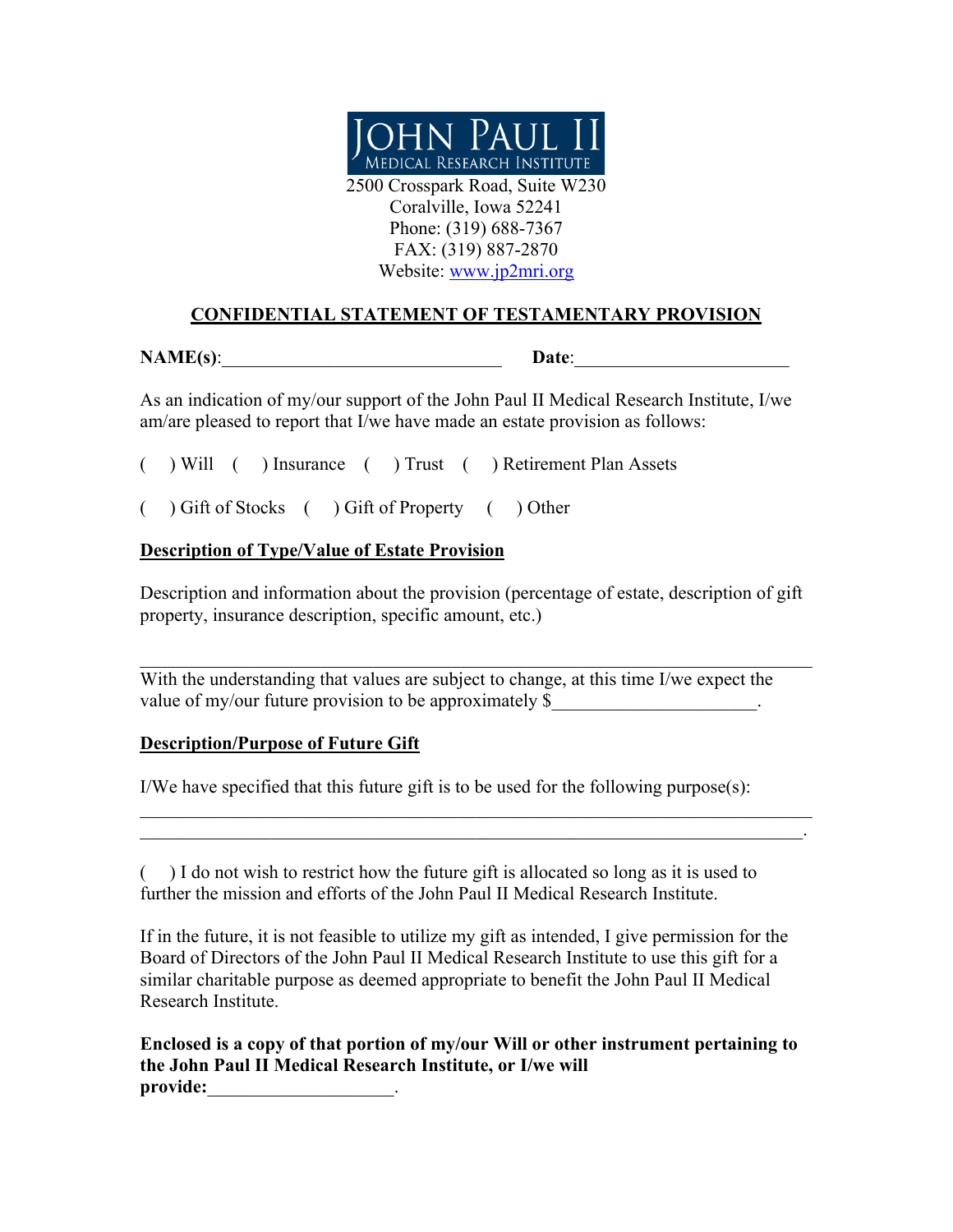

Coralville, Iowa 52241 Phone: (319) 688-7367 FAX: (319) 887-2870 Website: www.jp2mri.org

## **CONFIDENTIAL STATEMENT OF TESTAMENTARY PROVISION**

**NAME(s): Date:** 

As an indication of my/our support of the John Paul II Medical Research Institute, I/we am/are pleased to report that I/we have made an estate provision as follows:

( ) Will ( ) Insurance ( ) Trust ( ) Retirement Plan Assets

( ) Gift of Stocks ( ) Gift of Property ( ) Other

## **Description of Type/Value of Estate Provision**

Description and information about the provision (percentage of estate, description of gift property, insurance description, specific amount, etc.)

With the understanding that values are subject to change, at this time I/we expect the value of my/our future provision to be approximately \$

## **Description/Purpose of Future Gift**

I/We have specified that this future gift is to be used for the following purpose(s):

( ) I do not wish to restrict how the future gift is allocated so long as it is used to further the mission and efforts of the John Paul II Medical Research Institute.

 $\mathcal{L}_\mathcal{L} = \{ \mathcal{L}_\mathcal{L} = \{ \mathcal{L}_\mathcal{L} = \{ \mathcal{L}_\mathcal{L} = \{ \mathcal{L}_\mathcal{L} = \{ \mathcal{L}_\mathcal{L} = \{ \mathcal{L}_\mathcal{L} = \{ \mathcal{L}_\mathcal{L} = \{ \mathcal{L}_\mathcal{L} = \{ \mathcal{L}_\mathcal{L} = \{ \mathcal{L}_\mathcal{L} = \{ \mathcal{L}_\mathcal{L} = \{ \mathcal{L}_\mathcal{L} = \{ \mathcal{L}_\mathcal{L} = \{ \mathcal{L}_\mathcal{$ 

If in the future, it is not feasible to utilize my gift as intended, I give permission for the Board of Directors of the John Paul II Medical Research Institute to use this gift for a similar charitable purpose as deemed appropriate to benefit the John Paul II Medical Research Institute.

**Enclosed is a copy of that portion of my/our Will or other instrument pertaining to the John Paul II Medical Research Institute, or I/we will**  provide: